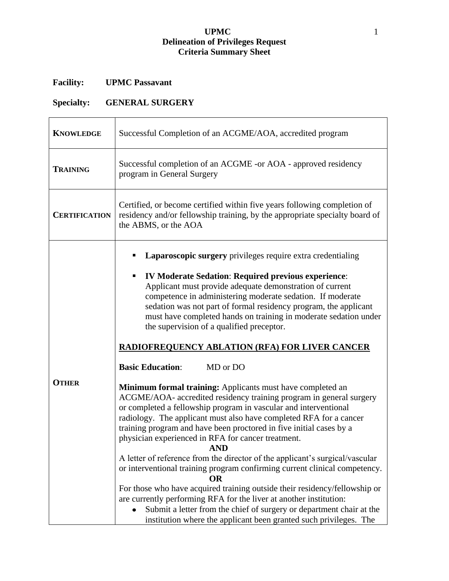# **UPMC** 1 **Delineation of Privileges Request Criteria Summary Sheet**

# **Facility: UPMC Passavant**

# **Specialty: GENERAL SURGERY**

| <b>KNOWLEDGE</b>     | Successful Completion of an ACGME/AOA, accredited program                                                                                                                                                                                                                                                                                                                                                                                                                                                                                                                                                                                                                                                                                                                                                                                                                                                                                                                                                                                                                                                                                                                                                                   |
|----------------------|-----------------------------------------------------------------------------------------------------------------------------------------------------------------------------------------------------------------------------------------------------------------------------------------------------------------------------------------------------------------------------------------------------------------------------------------------------------------------------------------------------------------------------------------------------------------------------------------------------------------------------------------------------------------------------------------------------------------------------------------------------------------------------------------------------------------------------------------------------------------------------------------------------------------------------------------------------------------------------------------------------------------------------------------------------------------------------------------------------------------------------------------------------------------------------------------------------------------------------|
| <b>TRAINING</b>      | Successful completion of an ACGME -or AOA - approved residency<br>program in General Surgery                                                                                                                                                                                                                                                                                                                                                                                                                                                                                                                                                                                                                                                                                                                                                                                                                                                                                                                                                                                                                                                                                                                                |
| <b>CERTIFICATION</b> | Certified, or become certified within five years following completion of<br>residency and/or fellowship training, by the appropriate specialty board of<br>the ABMS, or the AOA                                                                                                                                                                                                                                                                                                                                                                                                                                                                                                                                                                                                                                                                                                                                                                                                                                                                                                                                                                                                                                             |
| <b>OTHER</b>         | Laparoscopic surgery privileges require extra credentialing<br><b>IV Moderate Sedation: Required previous experience:</b><br>Applicant must provide adequate demonstration of current<br>competence in administering moderate sedation. If moderate<br>sedation was not part of formal residency program, the applicant<br>must have completed hands on training in moderate sedation under<br>the supervision of a qualified preceptor.<br><b>RADIOFREQUENCY ABLATION (RFA) FOR LIVER CANCER</b><br><b>Basic Education:</b><br>MD or DO<br><b>Minimum formal training:</b> Applicants must have completed an<br>ACGME/AOA- accredited residency training program in general surgery<br>or completed a fellowship program in vascular and interventional<br>radiology. The applicant must also have completed RFA for a cancer<br>training program and have been proctored in five initial cases by a<br>physician experienced in RFA for cancer treatment.<br><b>AND</b><br>A letter of reference from the director of the applicant's surgical/vascular<br>or interventional training program confirming current clinical competency.<br>ОR<br>For those who have acquired training outside their residency/fellowship or |
|                      | are currently performing RFA for the liver at another institution:<br>Submit a letter from the chief of surgery or department chair at the<br>institution where the applicant been granted such privileges. The                                                                                                                                                                                                                                                                                                                                                                                                                                                                                                                                                                                                                                                                                                                                                                                                                                                                                                                                                                                                             |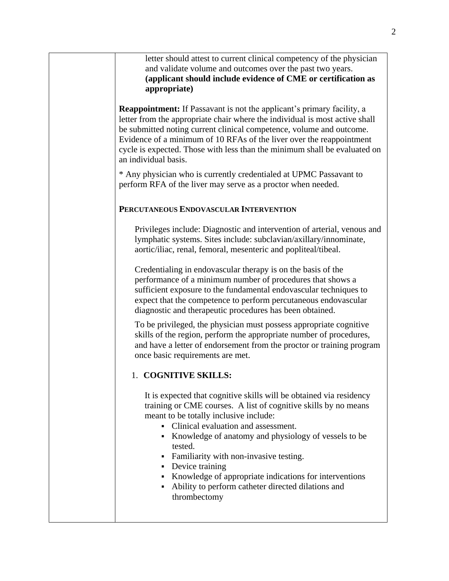letter should attest to current clinical competency of the physician and validate volume and outcomes over the past two years. **(applicant should include evidence of CME or certification as appropriate)**

**Reappointment:** If Passavant is not the applicant's primary facility, a letter from the appropriate chair where the individual is most active shall be submitted noting current clinical competence, volume and outcome. Evidence of a minimum of 10 RFAs of the liver over the reappointment cycle is expected. Those with less than the minimum shall be evaluated on an individual basis.

\* Any physician who is currently credentialed at UPMC Passavant to perform RFA of the liver may serve as a proctor when needed.

#### **PERCUTANEOUS ENDOVASCULAR INTERVENTION**

Privileges include: Diagnostic and intervention of arterial, venous and lymphatic systems. Sites include: subclavian/axillary/innominate, aortic/iliac, renal, femoral, mesenteric and popliteal/tibeal.

Credentialing in endovascular therapy is on the basis of the performance of a minimum number of procedures that shows a sufficient exposure to the fundamental endovascular techniques to expect that the competence to perform percutaneous endovascular diagnostic and therapeutic procedures has been obtained.

To be privileged, the physician must possess appropriate cognitive skills of the region, perform the appropriate number of procedures, and have a letter of endorsement from the proctor or training program once basic requirements are met.

### 1. **COGNITIVE SKILLS:**

It is expected that cognitive skills will be obtained via residency training or CME courses. A list of cognitive skills by no means meant to be totally inclusive include:

- Clinical evaluation and assessment.
- Knowledge of anatomy and physiology of vessels to be tested.
- Familiarity with non-invasive testing.
- Device training
- Knowledge of appropriate indications for interventions
- Ability to perform catheter directed dilations and thrombectomy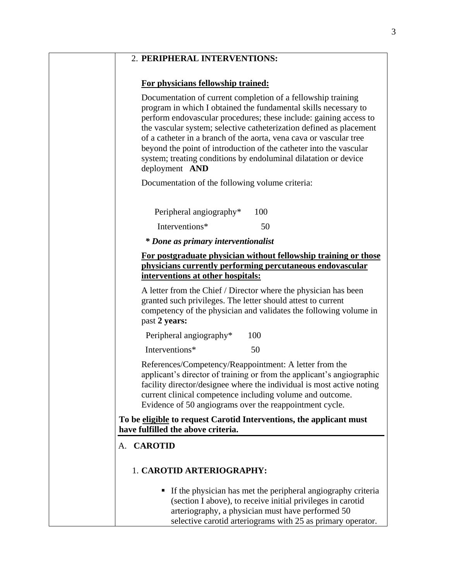## 2. **PERIPHERAL INTERVENTIONS:**

### **For physicians fellowship trained:**

Documentation of current completion of a fellowship training program in which I obtained the fundamental skills necessary to perform endovascular procedures; these include: gaining access to the vascular system; selective catheterization defined as placement of a catheter in a branch of the aorta, vena cava or vascular tree beyond the point of introduction of the catheter into the vascular system; treating conditions by endoluminal dilatation or device deployment **AND**

Documentation of the following volume criteria:

| Peripheral angiography* | 100 |
|-------------------------|-----|
| Interventions*          | 50  |

*\* Done as primary interventionalist*

#### **For postgraduate physician without fellowship training or those physicians currently performing percutaneous endovascular interventions at other hospitals:**

A letter from the Chief / Director where the physician has been granted such privileges. The letter should attest to current competency of the physician and validates the following volume in past **2 years:**

Peripheral angiography<sup>\*</sup> 100

Interventions\* 50

References/Competency/Reappointment: A letter from the applicant's director of training or from the applicant's angiographic facility director/designee where the individual is most active noting current clinical competence including volume and outcome. Evidence of 50 angiograms over the reappointment cycle.

### **To be eligible to request Carotid Interventions, the applicant must have fulfilled the above criteria.**

# A. **CAROTID**

# 1. **CAROTID ARTERIOGRAPHY:**

If the physician has met the peripheral angiography criteria (section I above), to receive initial privileges in carotid arteriography, a physician must have performed 50 selective carotid arteriograms with 25 as primary operator.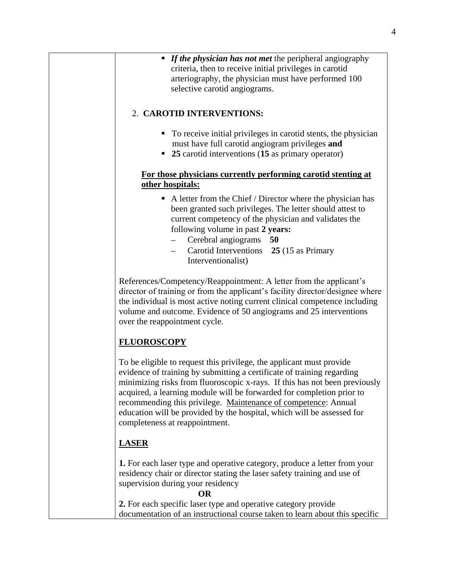|                    | • If the physician has not met the peripheral angiography                                                                                                                                                                                                                                                                                                                                                                                                                           |
|--------------------|-------------------------------------------------------------------------------------------------------------------------------------------------------------------------------------------------------------------------------------------------------------------------------------------------------------------------------------------------------------------------------------------------------------------------------------------------------------------------------------|
|                    |                                                                                                                                                                                                                                                                                                                                                                                                                                                                                     |
|                    | criteria, then to receive initial privileges in carotid                                                                                                                                                                                                                                                                                                                                                                                                                             |
|                    | arteriography, the physician must have performed 100                                                                                                                                                                                                                                                                                                                                                                                                                                |
|                    | selective carotid angiograms.                                                                                                                                                                                                                                                                                                                                                                                                                                                       |
|                    | 2. CAROTID INTERVENTIONS:                                                                                                                                                                                                                                                                                                                                                                                                                                                           |
|                    | To receive initial privileges in carotid stents, the physician                                                                                                                                                                                                                                                                                                                                                                                                                      |
|                    | must have full carotid angiogram privileges and                                                                                                                                                                                                                                                                                                                                                                                                                                     |
|                    | • 25 carotid interventions (15 as primary operator)                                                                                                                                                                                                                                                                                                                                                                                                                                 |
|                    | For those physicians currently performing carotid stenting at<br>other hospitals:                                                                                                                                                                                                                                                                                                                                                                                                   |
|                    | $\blacksquare$ A letter from the Chief / Director where the physician has                                                                                                                                                                                                                                                                                                                                                                                                           |
|                    | been granted such privileges. The letter should attest to                                                                                                                                                                                                                                                                                                                                                                                                                           |
|                    | current competency of the physician and validates the                                                                                                                                                                                                                                                                                                                                                                                                                               |
|                    | following volume in past 2 years:                                                                                                                                                                                                                                                                                                                                                                                                                                                   |
|                    | Cerebral angiograms 50                                                                                                                                                                                                                                                                                                                                                                                                                                                              |
|                    | Carotid Interventions 25 (15 as Primary<br>$-$                                                                                                                                                                                                                                                                                                                                                                                                                                      |
|                    | Interventionalist)                                                                                                                                                                                                                                                                                                                                                                                                                                                                  |
|                    | director of training or from the applicant's facility director/designee where<br>the individual is most active noting current clinical competence including<br>volume and outcome. Evidence of 50 angiograms and 25 interventions<br>over the reappointment cycle.                                                                                                                                                                                                                  |
| <b>FLUOROSCOPY</b> |                                                                                                                                                                                                                                                                                                                                                                                                                                                                                     |
|                    | To be eligible to request this privilege, the applicant must provide<br>evidence of training by submitting a certificate of training regarding<br>minimizing risks from fluoroscopic x-rays. If this has not been previously<br>acquired, a learning module will be forwarded for completion prior to<br>recommending this privilege. Maintenance of competence: Annual<br>education will be provided by the hospital, which will be assessed for<br>completeness at reappointment. |
| <b>LASER</b>       |                                                                                                                                                                                                                                                                                                                                                                                                                                                                                     |
|                    | 1. For each laser type and operative category, produce a letter from your<br>residency chair or director stating the laser safety training and use of<br>supervision during your residency<br><b>OR</b>                                                                                                                                                                                                                                                                             |
|                    |                                                                                                                                                                                                                                                                                                                                                                                                                                                                                     |
|                    |                                                                                                                                                                                                                                                                                                                                                                                                                                                                                     |
|                    | 2. For each specific laser type and operative category provide<br>documentation of an instructional course taken to learn about this specific                                                                                                                                                                                                                                                                                                                                       |